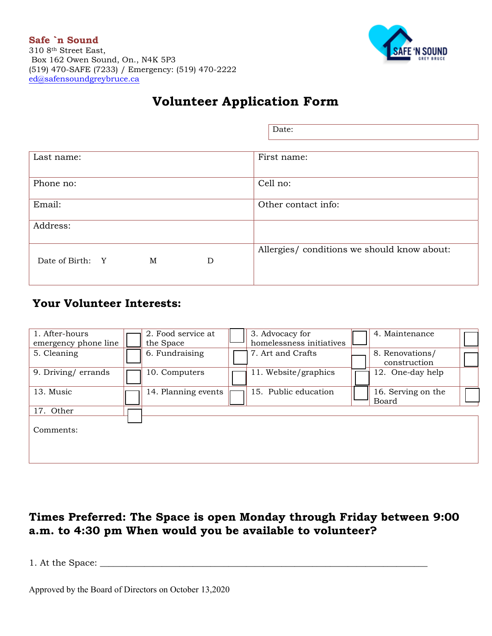

# Volunteer Application Form

|                            | Date:                                       |  |
|----------------------------|---------------------------------------------|--|
|                            |                                             |  |
| Last name:                 | First name:                                 |  |
|                            |                                             |  |
| Phone no:                  | Cell no:                                    |  |
| Email:                     | Other contact info:                         |  |
| Address:                   |                                             |  |
|                            |                                             |  |
|                            | Allergies/ conditions we should know about: |  |
| Date of Birth: Y<br>M<br>D |                                             |  |
|                            |                                             |  |

## Your Volunteer Interests:

| 1. After-hours<br>emergency phone line | 2. Food service at<br>the Space | 3. Advocacy for<br>homelessness initiatives | 4. Maintenance                  |  |
|----------------------------------------|---------------------------------|---------------------------------------------|---------------------------------|--|
| 5. Cleaning                            | 6. Fundraising                  | 7. Art and Crafts                           | 8. Renovations/<br>construction |  |
| 9. Driving/errands                     | 10. Computers                   | 11. Website/graphics                        | 12. One-day help                |  |
| 13. Music                              | 14. Planning events             | 15. Public education                        | 16. Serving on the<br>Board     |  |
| 17. Other                              |                                 |                                             |                                 |  |
| Comments:                              |                                 |                                             |                                 |  |
|                                        |                                 |                                             |                                 |  |

## Times Preferred: The Space is open Monday through Friday between 9:00 a.m. **to 4:30 pm** When would you be available to volunteer?

1. At the Space: \_\_\_\_\_\_\_\_\_\_\_\_\_\_\_\_\_\_\_\_\_\_\_\_\_\_\_\_\_\_\_\_\_\_\_\_\_\_\_\_\_\_\_\_\_\_\_\_\_\_\_\_\_\_\_\_\_\_\_\_\_\_\_\_\_\_\_\_\_\_\_\_\_\_

Approved by the Board of Directors on October 13,2020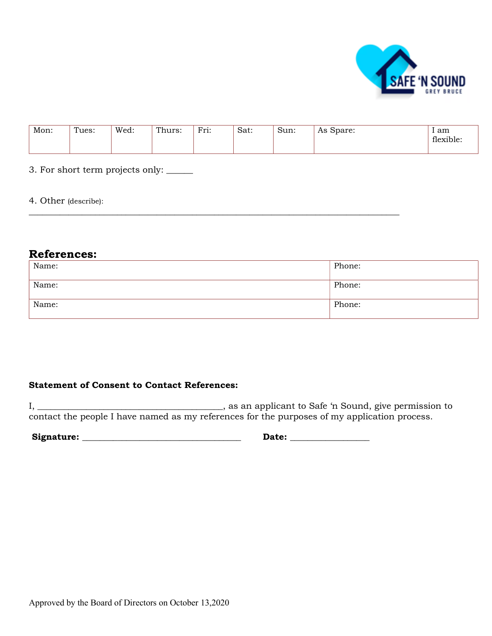

| Mon: | Tues: | Wed: | Thurs: | Fri:<br><b>T.TT.</b> | Sat: | Sun: | $A \sim$<br>Spare:<br>772 | am<br>flexible: |
|------|-------|------|--------|----------------------|------|------|---------------------------|-----------------|
|------|-------|------|--------|----------------------|------|------|---------------------------|-----------------|

3. For short term projects only: \_\_\_\_\_\_

4. Other (describe):

### References:

| Name: | Phone: |
|-------|--------|
| Name: | Phone: |
| Name: | Phone: |

### Statement of Consent to Contact References:

I, \_\_\_\_\_\_\_\_\_\_\_\_\_\_\_\_\_\_\_\_\_\_\_\_\_\_\_\_\_\_\_\_\_\_\_\_\_\_\_\_\_\_, as an applicant to Safe 'n Sound, give permission to contact the people I have named as my references for the purposes of my application process.

Signature: \_\_\_\_\_\_\_\_\_\_\_\_\_\_\_\_\_\_\_\_\_\_\_\_\_\_\_\_\_\_\_\_\_\_\_\_ Date: \_\_\_\_\_\_\_\_\_\_\_\_\_\_\_\_\_\_